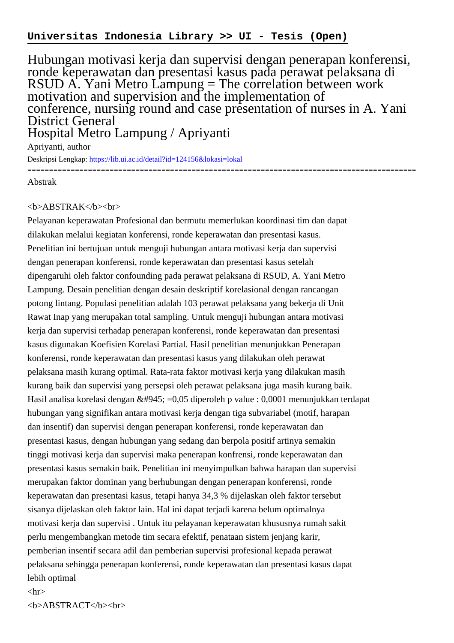## **Universitas Indonesia Library >> UI - Tesis (Open)**

Hubungan motivasi kerja dan supervisi dengan penerapan konferensi, ronde keperawatan dan presentasi kasus pada perawat pelaksana di RSUD A. Yani Metro Lampung = The correlation between work motivation and supervision and the implementation of conference, nursing round and case presentation of nurses in A. Yani District General Hospital Metro Lampung / Apriyanti

Apriyanti, author

Deskripsi Lengkap:<https://lib.ui.ac.id/detail?id=124156&lokasi=lokal> ------------------------------------------------------------------------------------------

Abstrak

## <b>ABSTRAK</b><br>

Pelayanan keperawatan Profesional dan bermutu memerlukan koordinasi tim dan dapat dilakukan melalui kegiatan konferensi, ronde keperawatan dan presentasi kasus. Penelitian ini bertujuan untuk menguji hubungan antara motivasi kerja dan supervisi dengan penerapan konferensi, ronde keperawatan dan presentasi kasus setelah dipengaruhi oleh faktor confounding pada perawat pelaksana di RSUD, A. Yani Metro Lampung. Desain penelitian dengan desain deskriptif korelasional dengan rancangan potong lintang. Populasi penelitian adalah 103 perawat pelaksana yang bekerja di Unit Rawat Inap yang merupakan total sampling. Untuk menguji hubungan antara motivasi kerja dan supervisi terhadap penerapan konferensi, ronde keperawatan dan presentasi kasus digunakan Koefisien Korelasi Partial. Hasil penelitian menunjukkan Penerapan konferensi, ronde keperawatan dan presentasi kasus yang dilakukan oleh perawat pelaksana masih kurang optimal. Rata-rata faktor motivasi kerja yang dilakukan masih kurang baik dan supervisi yang persepsi oleh perawat pelaksana juga masih kurang baik. Hasil analisa korelasi dengan α =0,05 diperoleh p value : 0,0001 menunjukkan terdapat hubungan yang signifikan antara motivasi kerja dengan tiga subvariabel (motif, harapan dan insentif) dan supervisi dengan penerapan konferensi, ronde keperawatan dan presentasi kasus, dengan hubungan yang sedang dan berpola positif artinya semakin tinggi motivasi kerja dan supervisi maka penerapan konfrensi, ronde keperawatan dan presentasi kasus semakin baik. Penelitian ini menyimpulkan bahwa harapan dan supervisi merupakan faktor dominan yang berhubungan dengan penerapan konferensi, ronde keperawatan dan presentasi kasus, tetapi hanya 34,3 % dijelaskan oleh faktor tersebut sisanya dijelaskan oleh faktor lain. Hal ini dapat terjadi karena belum optimalnya motivasi kerja dan supervisi . Untuk itu pelayanan keperawatan khususnya rumah sakit perlu mengembangkan metode tim secara efektif, penataan sistem jenjang karir, pemberian insentif secara adil dan pemberian supervisi profesional kepada perawat pelaksana sehingga penerapan konferensi, ronde keperawatan dan presentasi kasus dapat lebih optimal

## $\langle$ hr $>$ <b>ABSTRACT</b><br>